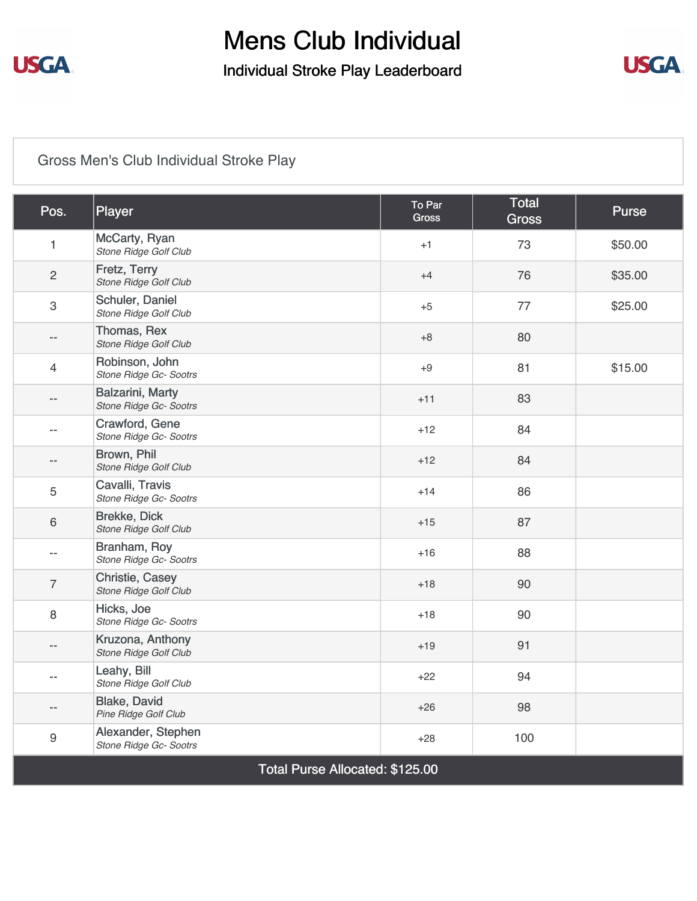

## Mens Club Individual Individual Stroke Play Leaderboard



## [Gross Men's Club Individual Stroke Play](https://static.golfgenius.com/v2tournaments/8430766059987958341?called_from=&round_index=1)

| Pos.                            | Player                                       | To Par<br><b>Gross</b> | <b>Total</b><br><b>Gross</b> | <b>Purse</b> |  |  |
|---------------------------------|----------------------------------------------|------------------------|------------------------------|--------------|--|--|
| $\mathbf{1}$                    | McCarty, Ryan<br>Stone Ridge Golf Club       | $+1$                   | 73                           | \$50.00      |  |  |
| $\overline{2}$                  | Fretz, Terry<br>Stone Ridge Golf Club        | $+4$                   | 76                           | \$35.00      |  |  |
| $\mathbf{3}$                    | Schuler, Daniel<br>Stone Ridge Golf Club     | $+5$                   | 77                           | \$25.00      |  |  |
| $\overline{\phantom{a}}$        | Thomas, Rex<br>Stone Ridge Golf Club         | $+8$                   | 80                           |              |  |  |
| 4                               | Robinson, John<br>Stone Ridge Gc- Sootrs     | $+9$                   | 81                           | \$15.00      |  |  |
| --                              | Balzarini, Marty<br>Stone Ridge Gc- Sootrs   | $+11$                  | 83                           |              |  |  |
| $\overline{\phantom{a}}$        | Crawford, Gene<br>Stone Ridge Gc- Sootrs     | $+12$                  | 84                           |              |  |  |
| $\overline{\phantom{a}}$        | Brown, Phil<br>Stone Ridge Golf Club         | $+12$                  | 84                           |              |  |  |
| 5                               | Cavalli, Travis<br>Stone Ridge Gc- Sootrs    | $+14$                  | 86                           |              |  |  |
| 6                               | <b>Brekke, Dick</b><br>Stone Ridge Golf Club | $+15$                  | 87                           |              |  |  |
| --                              | Branham, Roy<br>Stone Ridge Gc- Sootrs       | $+16$                  | 88                           |              |  |  |
| $\overline{7}$                  | Christie, Casey<br>Stone Ridge Golf Club     | $+18$                  | 90                           |              |  |  |
| 8                               | Hicks, Joe<br>Stone Ridge Gc- Sootrs         | $+18$                  | 90                           |              |  |  |
| $-$                             | Kruzona, Anthony<br>Stone Ridge Golf Club    | $+19$                  | 91                           |              |  |  |
| $\overline{a}$                  | Leahy, Bill<br>Stone Ridge Golf Club         | $+22$                  | 94                           |              |  |  |
| $- -$                           | Blake, David<br>Pine Ridge Golf Club         | $+26$                  | 98                           |              |  |  |
| $\boldsymbol{9}$                | Alexander, Stephen<br>Stone Ridge Gc- Sootrs | $+28$                  | 100                          |              |  |  |
| Total Purse Allocated: \$125.00 |                                              |                        |                              |              |  |  |